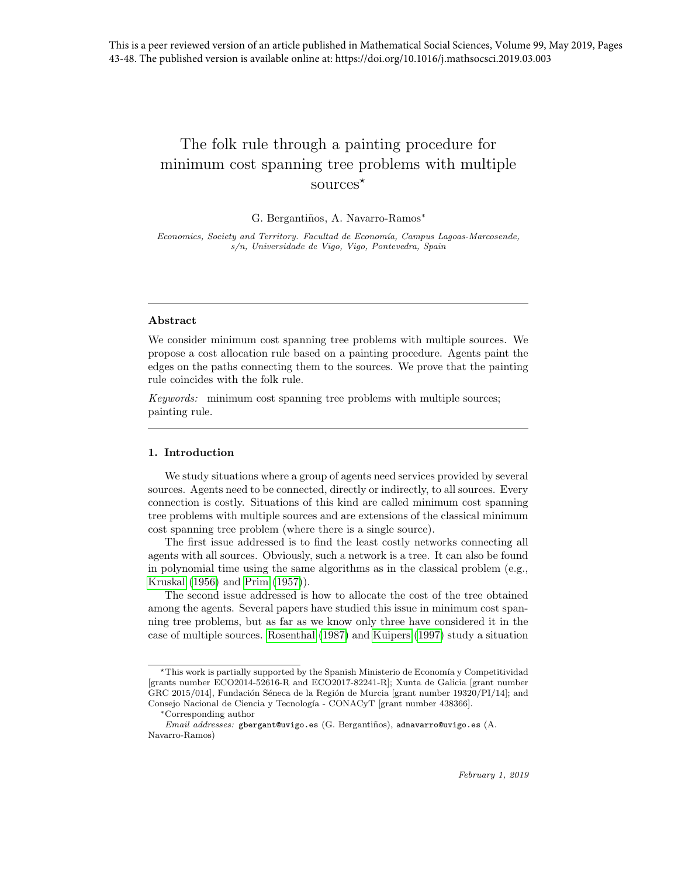# The folk rule through a painting procedure for minimum cost spanning tree problems with multiple sources<sup>\*</sup>

#### G. Bergantiños, A. Navarro-Ramos<sup>\*</sup>

Economics, Society and Territory. Facultad de Economía, Campus Lagoas-Marcosende, s/n, Universidade de Vigo, Vigo, Pontevedra, Spain

#### Abstract

We consider minimum cost spanning tree problems with multiple sources. We propose a cost allocation rule based on a painting procedure. Agents paint the edges on the paths connecting them to the sources. We prove that the painting rule coincides with the folk rule.

Keywords: minimum cost spanning tree problems with multiple sources; painting rule.

### 1. Introduction

We study situations where a group of agents need services provided by several sources. Agents need to be connected, directly or indirectly, to all sources. Every connection is costly. Situations of this kind are called minimum cost spanning tree problems with multiple sources and are extensions of the classical minimum cost spanning tree problem (where there is a single source).

The first issue addressed is to find the least costly networks connecting all agents with all sources. Obviously, such a network is a tree. It can also be found in polynomial time using the same algorithms as in the classical problem (e.g., Kruskal (1956) and Prim (1957)).

The second issue addressed is how to allocate the cost of the tree obtained among the agents. Several papers have studied this issue in minimum cost spanning tree problems, but as far as we know only three have considered it in the case of multiple sources. Rosenthal (1987) and Kuipers (1997) study a situation

<sup>\*</sup>This work is partially supported by the Spanish Ministerio de Economía y Competitividad [grants number ECO2014-52616-R and ECO2017-82241-R]; Xunta de Galicia [grant number GRC 2015/014], Fundación Séneca de la Región de Murcia [grant number 19320/PI/14]; and Consejo Nacional de Ciencia y Tecnología - CONACyT [grant number 438366].

<sup>∗</sup>Corresponding author

 $Email \ addresses: \$ gbergant@uvigo.es (G. Bergantiños), adnavarro@uvigo.es (A. Navarro-Ramos)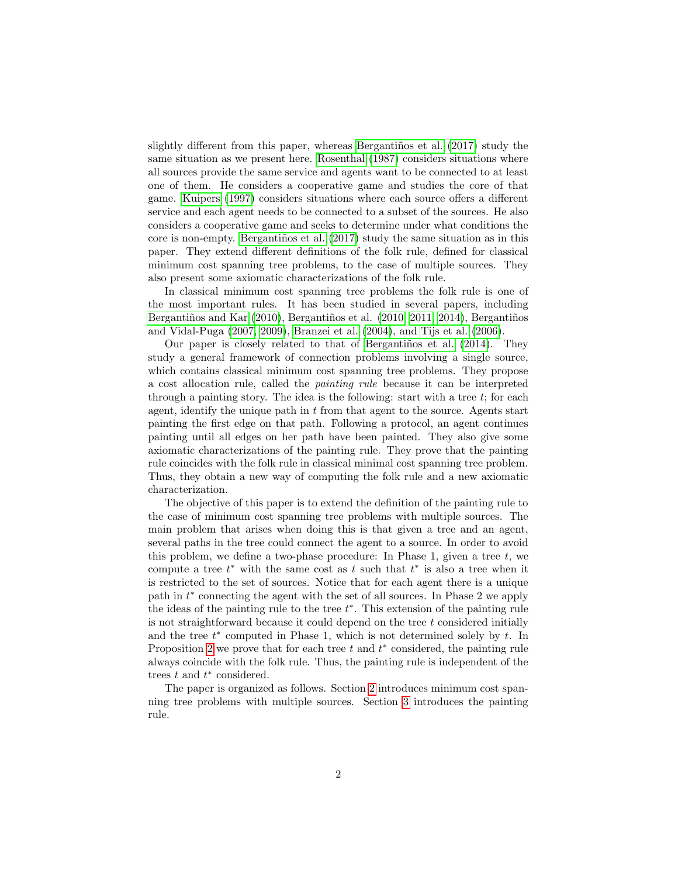slightly different from this paper, whereas Bergantiños et al. (2017) study the same situation as we present here. Rosenthal (1987) considers situations where all sources provide the same service and agents want to be connected to at least one of them. He considers a cooperative game and studies the core of that game. Kuipers (1997) considers situations where each source offers a different service and each agent needs to be connected to a subset of the sources. He also considers a cooperative game and seeks to determine under what conditions the core is non-empty. Bergantiños et al.  $(2017)$  study the same situation as in this paper. They extend different definitions of the folk rule, defined for classical minimum cost spanning tree problems, to the case of multiple sources. They also present some axiomatic characterizations of the folk rule.

In classical minimum cost spanning tree problems the folk rule is one of the most important rules. It has been studied in several papers, including Bergantiños and Kar  $(2010)$ , Bergantiños et al.  $(2010, 2011, 2014)$ , Bergantiños and Vidal-Puga (2007, 2009), Branzei et al. (2004), and Tijs et al. (2006).

Our paper is closely related to that of Bergantiños et al.  $(2014)$ . They study a general framework of connection problems involving a single source, which contains classical minimum cost spanning tree problems. They propose a cost allocation rule, called the painting rule because it can be interpreted through a painting story. The idea is the following: start with a tree  $t$ ; for each agent, identify the unique path in  $t$  from that agent to the source. Agents start painting the first edge on that path. Following a protocol, an agent continues painting until all edges on her path have been painted. They also give some axiomatic characterizations of the painting rule. They prove that the painting rule coincides with the folk rule in classical minimal cost spanning tree problem. Thus, they obtain a new way of computing the folk rule and a new axiomatic characterization.

The objective of this paper is to extend the definition of the painting rule to the case of minimum cost spanning tree problems with multiple sources. The main problem that arises when doing this is that given a tree and an agent, several paths in the tree could connect the agent to a source. In order to avoid this problem, we define a two-phase procedure: In Phase 1, given a tree  $t$ , we compute a tree  $t^*$  with the same cost as t such that  $t^*$  is also a tree when it is restricted to the set of sources. Notice that for each agent there is a unique path in  $t^*$  connecting the agent with the set of all sources. In Phase 2 we apply the ideas of the painting rule to the tree  $t^*$ . This extension of the painting rule is not straightforward because it could depend on the tree  $t$  considered initially and the tree  $t^*$  computed in Phase 1, which is not determined solely by  $t$ . In Proposition 2 we prove that for each tree  $t$  and  $t^*$  considered, the painting rule always coincide with the folk rule. Thus, the painting rule is independent of the trees  $t$  and  $t^*$  considered.

The paper is organized as follows. Section 2 introduces minimum cost spanning tree problems with multiple sources. Section 3 introduces the painting rule.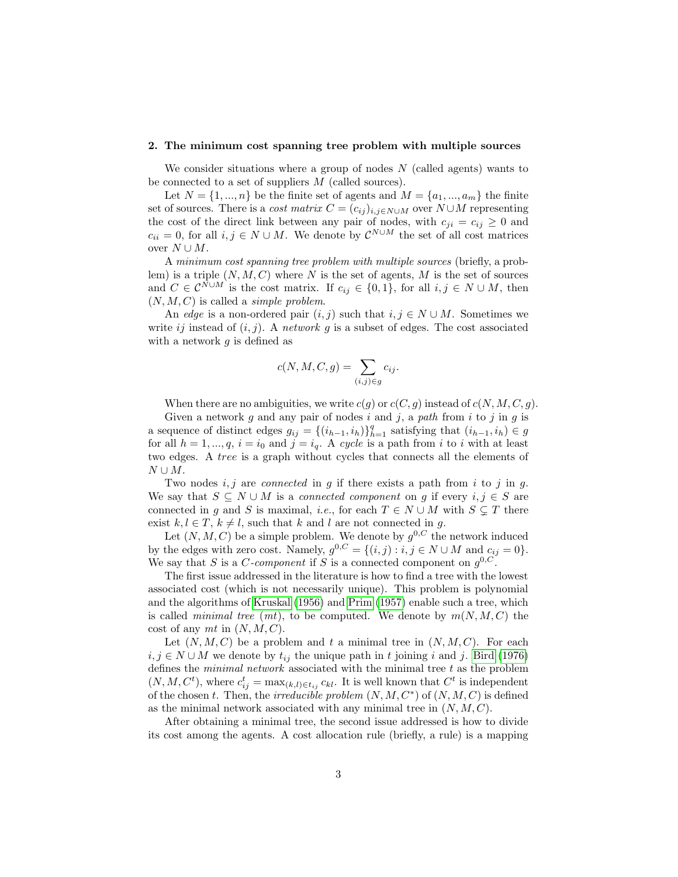#### 2. The minimum cost spanning tree problem with multiple sources

We consider situations where a group of nodes  $N$  (called agents) wants to be connected to a set of suppliers  $M$  (called sources).

Let  $N = \{1, ..., n\}$  be the finite set of agents and  $M = \{a_1, ..., a_m\}$  the finite set of sources. There is a *cost matrix*  $C = (c_{ij})_{i,j \in N \cup M}$  over  $N \cup M$  representing the cost of the direct link between any pair of nodes, with  $c_{ji} = c_{ij} \geq 0$  and  $c_{ii} = 0$ , for all  $i, j \in N \cup M$ . We denote by  $\mathcal{C}^{N \cup M}$  the set of all cost matrices over  $N \cup M$ .

A minimum cost spanning tree problem with multiple sources (briefly, a problem) is a triple  $(N, M, C)$  where N is the set of agents, M is the set of sources and  $C \in \mathcal{C}^{N \cup M}$  is the cost matrix. If  $c_{ij} \in \{0,1\}$ , for all  $i, j \in N \cup M$ , then  $(N, M, C)$  is called a *simple problem*.

An edge is a non-ordered pair  $(i, j)$  such that  $i, j \in N \cup M$ . Sometimes we write ij instead of  $(i, j)$ . A network g is a subset of edges. The cost associated with a network  $g$  is defined as

$$
c(N, M, C, g) = \sum_{(i,j) \in g} c_{ij}.
$$

When there are no ambiguities, we write  $c(g)$  or  $c(C, g)$  instead of  $c(N, M, C, g)$ .

Given a network g and any pair of nodes i and j, a path from i to j in g is a sequence of distinct edges  $g_{ij} = \{(i_{h-1}, i_h)\}_{h=1}^q$  satisfying that  $(i_{h-1}, i_h) \in g$ for all  $h = 1, ..., q$ ,  $i = i_0$  and  $j = i_q$ . A cycle is a path from i to i with at least two edges. A tree is a graph without cycles that connects all the elements of  $N \cup M$ .

Two nodes  $i, j$  are *connected* in g if there exists a path from i to j in g. We say that  $S \subseteq N \cup M$  is a *connected component* on g if every  $i, j \in S$  are connected in g and S is maximal, *i.e.*, for each  $T \in N \cup M$  with  $S \subseteq T$  there exist  $k, l \in T$ ,  $k \neq l$ , such that k and l are not connected in g.

Let  $(N, M, C)$  be a simple problem. We denote by  $g^{0,C}$  the network induced by the edges with zero cost. Namely,  $g^{0,C} = \{(i,j) : i,j \in N \cup M \text{ and } c_{ij} = 0\}.$ We say that S is a C-component if S is a connected component on  $g^{0,C}$ .

The first issue addressed in the literature is how to find a tree with the lowest associated cost (which is not necessarily unique). This problem is polynomial and the algorithms of Kruskal (1956) and Prim (1957) enable such a tree, which is called *minimal tree*  $(mt)$ , to be computed. We denote by  $m(N, M, C)$  the cost of any mt in  $(N, M, C)$ .

Let  $(N, M, C)$  be a problem and t a minimal tree in  $(N, M, C)$ . For each  $i, j \in N \cup M$  we denote by  $t_{ij}$  the unique path in t joining i and j. Bird (1976) defines the *minimal network* associated with the minimal tree  $t$  as the problem  $(N, M, C^t)$ , where  $c_{ij}^t = \max_{(k,l) \in t_{ij}} c_{kl}$ . It is well known that  $C^t$  is independent of the chosen t. Then, the *irreducible problem*  $(N, M, C^*)$  of  $(N, M, C)$  is defined as the minimal network associated with any minimal tree in  $(N, M, C)$ .

After obtaining a minimal tree, the second issue addressed is how to divide its cost among the agents. A cost allocation rule (briefly, a rule) is a mapping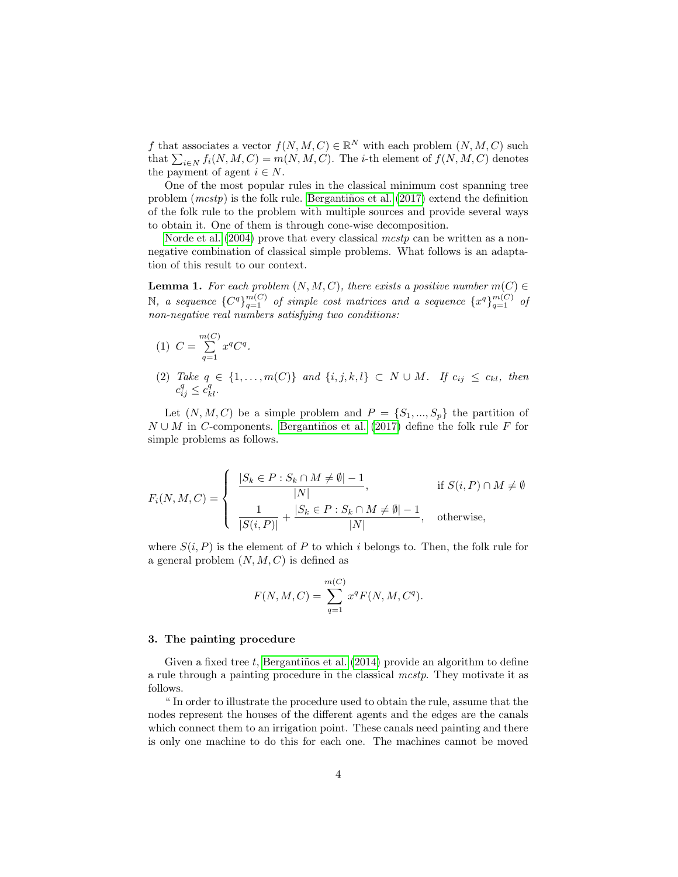f that associates a vector  $f(N, M, C) \in \mathbb{R}^N$  with each problem  $(N, M, C)$  such that  $\sum_{i\in N} f_i(N, M, C) = m(N, M, C)$ . The *i*-th element of  $f(N, M, C)$  denotes the payment of agent  $i \in N$ .

One of the most popular rules in the classical minimum cost spanning tree problem  $(mcstp)$  is the folk rule. Bergantiños et al. (2017) extend the definition of the folk rule to the problem with multiple sources and provide several ways to obtain it. One of them is through cone-wise decomposition.

Norde et al.  $(2004)$  prove that every classical mest p can be written as a nonnegative combination of classical simple problems. What follows is an adaptation of this result to our context.

**Lemma 1.** For each problem  $(N, M, C)$ , there exists a positive number  $m(C) \in$ N, a sequence  ${C^q}_{q=1}^m$  of simple cost matrices and a sequence  ${x^q}_{q=1}^{m(C)}$  of non-negative real numbers satisfying two conditions:

- (1)  $C = \sum_{n=0}^{m(C)}$  $\sum_{q=1}^\infty x^q C^q.$
- (2) Take  $q \in \{1, ..., m(C)\}$  and  $\{i, j, k, l\} \subset N \cup M$ . If  $c_{ij} \leq c_{kl}$ , then  $c_{ij}^q \leq \overline{c}_{kl}^q$ .

Let  $(N, M, C)$  be a simple problem and  $P = \{S_1, ..., S_p\}$  the partition of  $N \cup M$  in C-components. Bergantiños et al. (2017) define the folk rule F for simple problems as follows.

$$
F_i(N, M, C) = \begin{cases} \frac{|S_k \in P : S_k \cap M \neq \emptyset| - 1}{|N|}, & \text{if } S(i, P) \cap M \neq \emptyset\\ \frac{1}{|S(i, P)|} + \frac{|S_k \in P : S_k \cap M \neq \emptyset| - 1}{|N|}, & \text{otherwise,} \end{cases}
$$

where  $S(i, P)$  is the element of P to which i belongs to. Then, the folk rule for a general problem  $(N, M, C)$  is defined as

$$
F(N, M, C) = \sum_{q=1}^{m(C)} x^q F(N, M, C^q).
$$

## 3. The painting procedure

Given a fixed tree t, Bergantiños et al.  $(2014)$  provide an algorithm to define a rule through a painting procedure in the classical mcstp. They motivate it as follows.

" In order to illustrate the procedure used to obtain the rule, assume that the nodes represent the houses of the different agents and the edges are the canals which connect them to an irrigation point. These canals need painting and there is only one machine to do this for each one. The machines cannot be moved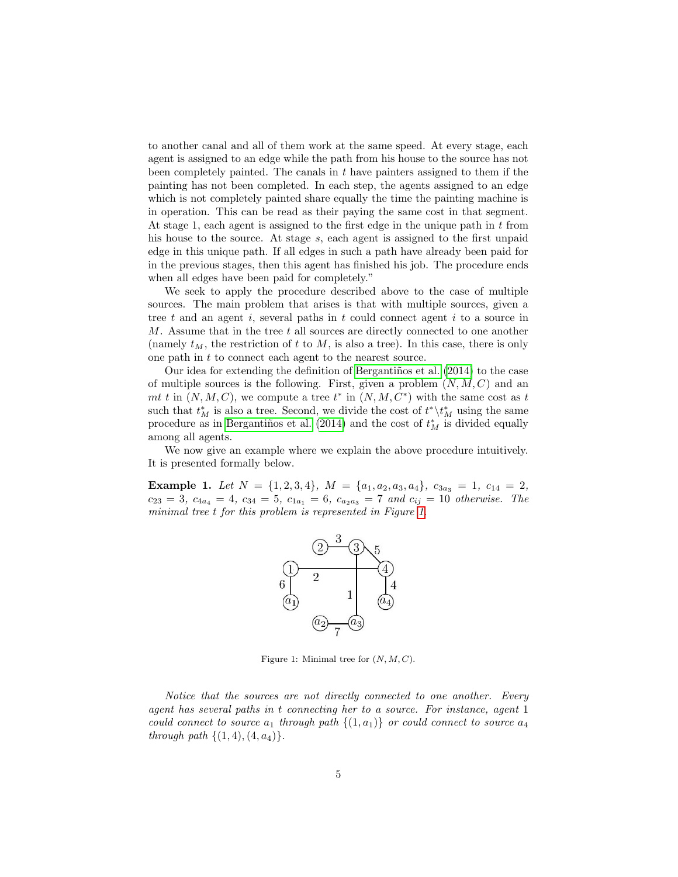to another canal and all of them work at the same speed. At every stage, each agent is assigned to an edge while the path from his house to the source has not been completely painted. The canals in  $t$  have painters assigned to them if the painting has not been completed. In each step, the agents assigned to an edge which is not completely painted share equally the time the painting machine is in operation. This can be read as their paying the same cost in that segment. At stage 1, each agent is assigned to the first edge in the unique path in  $t$  from his house to the source. At stage s, each agent is assigned to the first unpaid edge in this unique path. If all edges in such a path have already been paid for in the previous stages, then this agent has finished his job. The procedure ends when all edges have been paid for completely."

We seek to apply the procedure described above to the case of multiple sources. The main problem that arises is that with multiple sources, given a tree t and an agent i, several paths in t could connect agent i to a source in  $M$ . Assume that in the tree  $t$  all sources are directly connected to one another (namely  $t_M$ , the restriction of t to  $M$ , is also a tree). In this case, there is only one path in t to connect each agent to the nearest source.

Our idea for extending the definition of Bergantiños et al.  $(2014)$  to the case of multiple sources is the following. First, given a problem  $(N, M, C)$  and an mt t in  $(N, M, C)$ , we compute a tree  $t^*$  in  $(N, M, C^*)$  with the same cost as t such that  $t^*_M$  is also a tree. Second, we divide the cost of  $t^* \backslash t^*_M$  using the same procedure as in Bergantiños et al. (2014) and the cost of  $t_M^*$  is divided equally among all agents.

We now give an example where we explain the above procedure intuitively. It is presented formally below.

Example 1. Let  $N = \{1, 2, 3, 4\}$ ,  $M = \{a_1, a_2, a_3, a_4\}$ ,  $c_{3a_3} = 1$ ,  $c_{14} = 2$ ,  $c_{23} = 3$ ,  $c_{4a_4} = 4$ ,  $c_{34} = 5$ ,  $c_{1a_1} = 6$ ,  $c_{a_2a_3} = 7$  and  $c_{ij} = 10$  otherwise. The minimal tree t for this problem is represented in Figure 1.



Figure 1: Minimal tree for  $(N, M, C)$ .

Notice that the sources are not directly connected to one another. Every agent has several paths in t connecting her to a source. For instance, agent 1 could connect to source  $a_1$  through path  $\{(1, a_1)\}\$  or could connect to source  $a_4$ through path  $\{(1, 4), (4, a_4)\}.$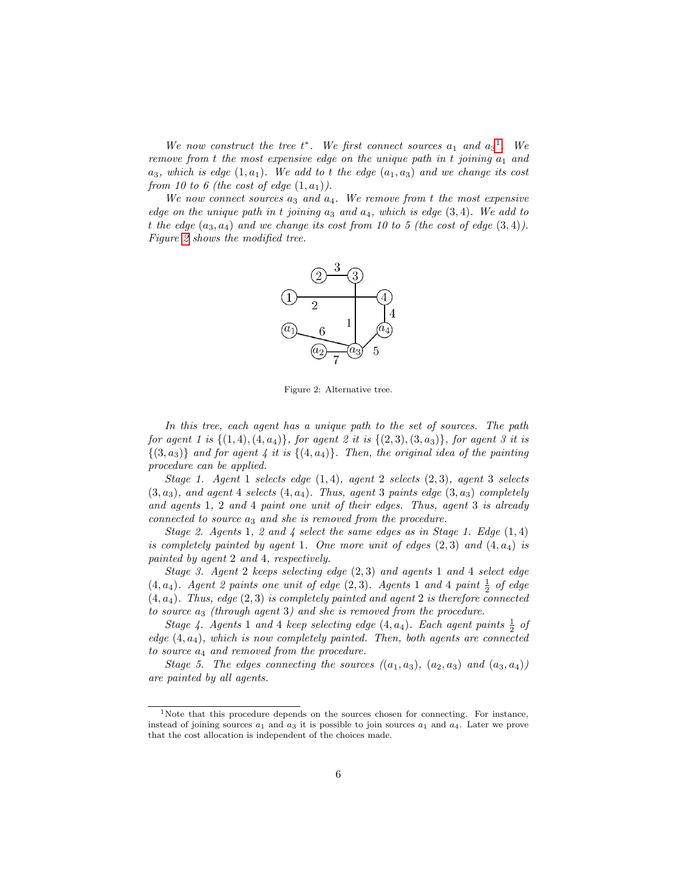We now construct the tree  $t^*$ . We first connect sources  $a_1$  and  $a_3^1$ . We remove from t the most expensive edge on the unique path in t joining  $a_1$  and  $a_3$ , which is edge  $(1, a_1)$ . We add to t the edge  $(a_1, a_3)$  and we change its cost from 10 to 6 (the cost of edge  $(1, a_1)$ ).

We now connect sources  $a_3$  and  $a_4$ . We remove from t the most expensive edge on the unique path in t joining  $a_3$  and  $a_4$ , which is edge  $(3, 4)$ . We add to t the edge  $(a_3, a_4)$  and we change its cost from 10 to 5 (the cost of edge  $(3, 4)$ ). Figure 2 shows the modified tree.



Figure 2: Alternative tree.

In this tree, each agent has a unique path to the set of sources. The path for agent 1 is  $\{(1,4), (4, a_4)\}\$ , for agent 2 it is  $\{(2,3), (3, a_3)\}\$ , for agent 3 it is  $\{(3, a_3)\}\$  and for agent 4 it is  $\{(4, a_4)\}\$ . Then, the original idea of the painting procedure can be applied.

Stage 1. Agent 1 selects edge  $(1,4)$ , agent 2 selects  $(2,3)$ , agent 3 selects  $(3, a_3)$ , and agent 4 selects  $(4, a_4)$ . Thus, agent 3 paints edge  $(3, a_3)$  completely and agents 1, 2 and 4 paint one unit of their edges. Thus, agent 3 is already connected to source  $a_3$  and she is removed from the procedure.

Stage 2. Agents 1, 2 and 4 select the same edges as in Stage 1. Edge  $(1, 4)$ is completely painted by agent 1. One more unit of edges  $(2,3)$  and  $(4, a<sub>4</sub>)$  is painted by agent 2 and 4, respectively.

Stage 3. Agent 2 keeps selecting edge (2, 3) and agents 1 and 4 select edge  $(4, a_4)$ . Agent 2 paints one unit of edge  $(2, 3)$ . Agents 1 and 4 paint  $\frac{1}{2}$  of edge  $(4, a_4)$ . Thus, edge  $(2, 3)$  is completely painted and agent 2 is therefore connected to source  $a_3$  (through agent 3) and she is removed from the procedure.

Stage 4. Agents 1 and 4 keep selecting edge  $(4, a_4)$ . Each agent paints  $\frac{1}{2}$  of edge  $(4, a_4)$ , which is now completely painted. Then, both agents are connected to source  $a_4$  and removed from the procedure.

Stage 5. The edges connecting the sources  $((a_1, a_3), (a_2, a_3)$  and  $(a_3, a_4)$ ) are painted by all agents.

<sup>1</sup>Note that this procedure depends on the sources chosen for connecting. For instance, instead of joining sources  $a_1$  and  $a_3$  it is possible to join sources  $a_1$  and  $a_4$ . Later we prove that the cost allocation is independent of the choices made.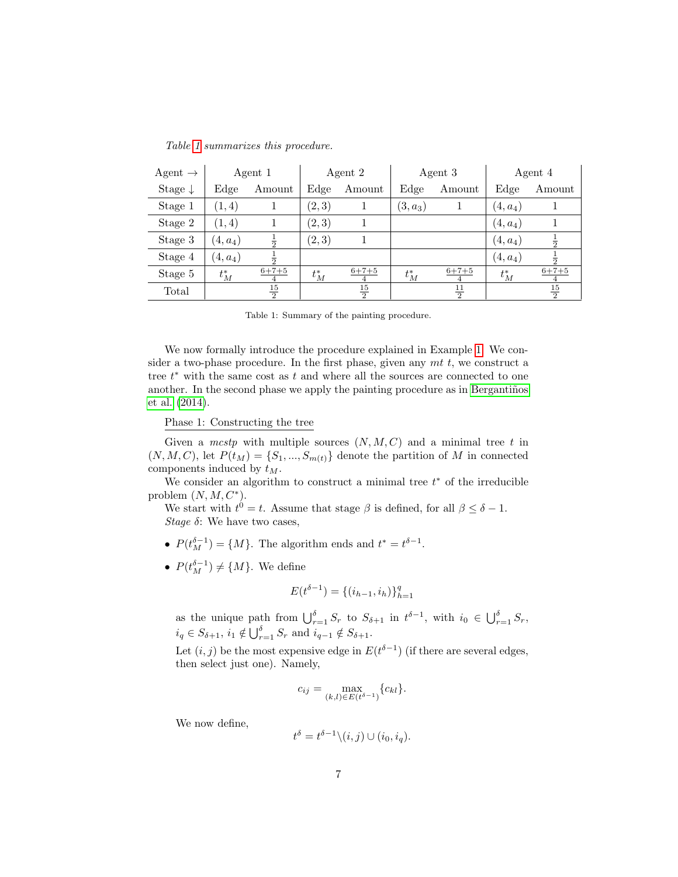|  | Table 1 summarizes this procedure. |  |  |
|--|------------------------------------|--|--|
|--|------------------------------------|--|--|

| Agent $\rightarrow$ | Agent 1    |                | Agent 2 |                               | Agent 3    |                | Agent 4    |                               |
|---------------------|------------|----------------|---------|-------------------------------|------------|----------------|------------|-------------------------------|
| Stage $\downarrow$  | Edge       | Amount         | Edge    | Amount                        | Edge       | Amount         | Edge       | Amount                        |
| Stage 1             | (1,4)      |                | (2, 3)  |                               | $(3, a_3)$ |                | $(4, a_4)$ |                               |
| Stage 2             | (1,4)      |                | (2,3)   |                               |            |                | $(4, a_4)$ |                               |
| Stage 3             | $(4, a_4)$ | $\frac{1}{2}$  | (2, 3)  |                               |            |                | $(4, a_4)$ | $\overline{2}$                |
| Stage 4             | $(4, a_4)$ |                |         |                               |            |                | $(4, a_4)$ |                               |
| Stage 5             | $t_M^*$    | $6 + 7 + 5$    | $t_M^*$ | $6 + 7 + 5$<br>$\overline{4}$ | $t_M^*$    | $6 + 7 + 5$    | $t_M^*$    | $6 + 7 + 5$<br>$\overline{4}$ |
| Total               |            | $\frac{15}{2}$ |         | $\frac{15}{2}$                |            | $\frac{11}{2}$ |            | $\frac{15}{2}$                |

Table 1: Summary of the painting procedure.

We now formally introduce the procedure explained in Example 1. We consider a two-phase procedure. In the first phase, given any  $mt$  t, we construct a tree  $t^*$  with the same cost as  $t$  and where all the sources are connected to one another. In the second phase we apply the painting procedure as in Bergantiños et al. (2014).

Phase 1: Constructing the tree

Given a  $mcstp$  with multiple sources  $(N, M, C)$  and a minimal tree t in  $(N, M, C)$ , let  $P(t_M) = \{S_1, ..., S_{m(t)}\}$  denote the partition of M in connected components induced by  $t_M$ .

We consider an algorithm to construct a minimal tree  $t^*$  of the irreducible problem  $(N, M, C^*)$ .

We start with  $t^0 = t$ . Assume that stage  $\beta$  is defined, for all  $\beta \leq \delta - 1$ . Stage  $\delta$ : We have two cases,

- $P(t_M^{\delta-1}) = \{M\}$ . The algorithm ends and  $t^* = t^{\delta-1}$ .
- $P(t_M^{\delta-1}) \neq \{M\}$ . We define

$$
E(t^{\delta-1}) = \{(i_{h-1}, i_h)\}_{h=1}^q
$$

as the unique path from  $\bigcup_{r=1}^{\delta} S_r$  to  $S_{\delta+1}$  in  $t^{\delta-1}$ , with  $i_0 \in \bigcup_{r=1}^{\delta} S_r$ ,  $i_q \in S_{\delta+1}, i_1 \notin \bigcup_{r=1}^{\delta} S_r$  and  $i_{q-1} \notin S_{\delta+1}$ .

Let  $(i, j)$  be the most expensive edge in  $E(t^{\delta-1})$  (if there are several edges, then select just one). Namely,

$$
c_{ij} = \max_{(k,l)\in E(t^{\delta-1})} \{c_{kl}\}.
$$

We now define,

$$
t^{\delta} = t^{\delta - 1} \setminus (i, j) \cup (i_0, i_q).
$$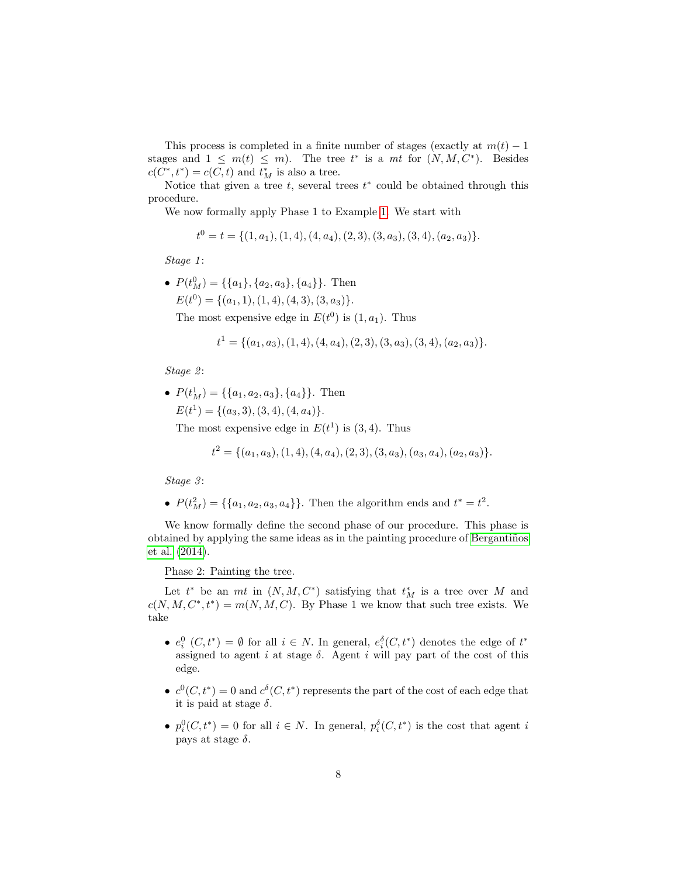This process is completed in a finite number of stages (exactly at  $m(t) - 1$ ) stages and  $1 \leq m(t) \leq m$ . The tree  $t^*$  is a mt for  $(N, M, C^*)$ . Besides  $c(C^*, t^*) = c(C, t)$  and  $t_M^*$  is also a tree.

Notice that given a tree  $t$ , several trees  $t^*$  could be obtained through this procedure.

We now formally apply Phase 1 to Example 1. We start with

$$
t^{0} = t = \{(1, a_{1}), (1, 4), (4, a_{4}), (2, 3), (3, a_{3}), (3, 4), (a_{2}, a_{3})\}.
$$

Stage 1:

•  $P(t_M^0) = \{\{a_1\}, \{a_2, a_3\}, \{a_4\}\}\.$  Then  $E(t^0) = \{(a_1, 1), (1, 4), (4, 3), (3, a_3)\}.$ 

The most expensive edge in  $E(t^0)$  is  $(1, a_1)$ . Thus

$$
t^1 = \{(a_1, a_3), (1, 4), (4, a_4), (2, 3), (3, a_3), (3, 4), (a_2, a_3)\}.
$$

Stage 2:

•  $P(t_M^1) = \{\{a_1, a_2, a_3\}, \{a_4\}\}\.$  Then  $E(t^1) = \{(a_3, 3), (3, 4), (4, a_4)\}.$ 

The most expensive edge in  $E(t^1)$  is  $(3, 4)$ . Thus

$$
t^{2} = \{(a_{1}, a_{3}), (1, 4), (4, a_{4}), (2, 3), (3, a_{3}), (a_{3}, a_{4}), (a_{2}, a_{3})\}.
$$

Stage 3:

•  $P(t_M^2) = \{\{a_1, a_2, a_3, a_4\}\}\.$  Then the algorithm ends and  $t^* = t^2$ .

We know formally define the second phase of our procedure. This phase is obtained by applying the same ideas as in the painting procedure of Bergantiños et al. (2014).

## Phase 2: Painting the tree.

Let  $t^*$  be an  $mt$  in  $(N, M, C^*)$  satisfying that  $t^*$  is a tree over M and  $c(N, M, C^*, t^*) = m(N, M, C)$ . By Phase 1 we know that such tree exists. We take

- $e_i^0$   $(C, t^*) = \emptyset$  for all  $i \in N$ . In general,  $e_i^{\delta}(C, t^*)$  denotes the edge of  $t^*$ assigned to agent i at stage  $\delta$ . Agent i will pay part of the cost of this edge.
- $c^0(C, t^*) = 0$  and  $c^{\delta}(C, t^*)$  represents the part of the cost of each edge that it is paid at stage  $\delta$ .
- $p_i^0(C, t^*) = 0$  for all  $i \in N$ . In general,  $p_i^{\delta}(C, t^*)$  is the cost that agent i pays at stage  $\delta$ .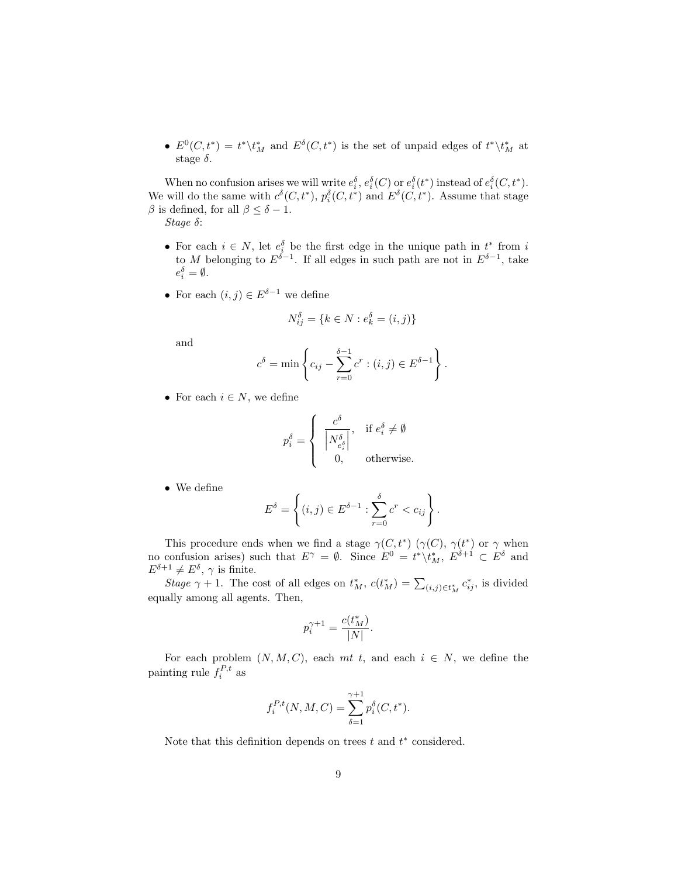•  $E^0(C, t^*) = t^* \setminus t^*_M$  and  $E^{\delta}(C, t^*)$  is the set of unpaid edges of  $t^* \setminus t^*_M$  at stage  $\delta$ .

When no confusion arises we will write  $e_i^{\delta}$ ,  $e_i^{\delta}(C)$  or  $e_i^{\delta}(t^*)$  instead of  $e_i^{\delta}(C, t^*)$ . We will do the same with  $c^{\delta}(C, t^*)$ ,  $p_i^{\delta}(C, t^*)$  and  $E^{\delta}(C, t^*)$ . Assume that stage β is defined, for all  $β ≤ δ - 1$ .

Stage δ:

- For each  $i \in N$ , let  $e_i^{\delta}$  be the first edge in the unique path in  $t^*$  from i to M belonging to  $E^{\delta-1}$ . If all edges in such path are not in  $E^{\delta-1}$ , take  $e_i^{\delta} = \emptyset.$
- For each  $(i, j) \in E^{\delta 1}$  we define

$$
N_{ij}^{\delta} = \{ k \in N : e_k^{\delta} = (i, j) \}
$$

and

$$
c^{\delta} = \min \left\{ c_{ij} - \sum_{r=0}^{\delta - 1} c^r : (i, j) \in E^{\delta - 1} \right\}.
$$

• For each  $i \in N$ , we define

$$
p_i^{\delta} = \begin{cases} \begin{array}{c} c^{\delta} \\ \left| N_{e_i^{\delta}}^{\delta} \right|, \end{array} & \text{if } e_i^{\delta} \neq \emptyset \\ 0, \end{array} \end{cases}
$$

• We define

$$
E^{\delta} = \left\{ (i, j) \in E^{\delta - 1} : \sum_{r=0}^{\delta} c^r < c_{ij} \right\}.
$$

This procedure ends when we find a stage  $\gamma(C, t^*)$  ( $\gamma(C)$ ,  $\gamma(t^*)$  or  $\gamma$  when no confusion arises) such that  $E^{\gamma} = \emptyset$ . Since  $E^0 = t^* \setminus t^*_M$ ,  $E^{\delta+1} \subset E^{\delta}$  and  $E^{\delta+1} \neq E^{\delta}$ ,  $\gamma$  is finite.

Stage  $\gamma + 1$ . The cost of all edges on  $t_M^*$ ,  $c(t_M^*) = \sum_{(i,j) \in t_M^*} c_{ij}^*$ , is divided equally among all agents. Then,

$$
p_i^{\gamma+1} = \frac{c(t_M^*)}{|N|}.
$$

For each problem  $(N, M, C)$ , each mt t, and each  $i \in N$ , we define the painting rule  $f_i^{P,t}$  as

$$
f_i^{P,t}(N, M, C) = \sum_{\delta=1}^{\gamma+1} p_i^{\delta}(C, t^*).
$$

Note that this definition depends on trees  $t$  and  $t^*$  considered.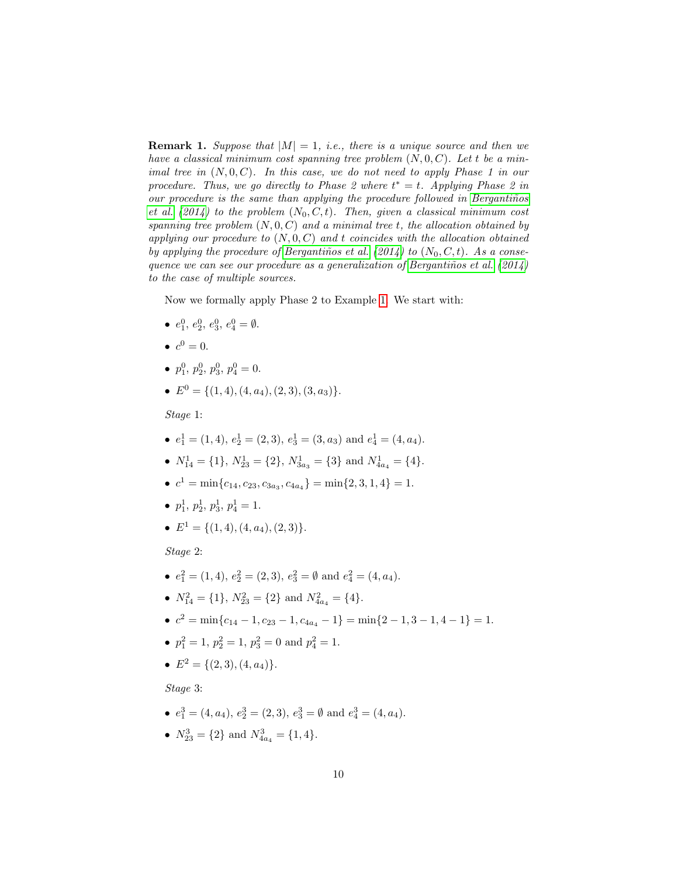**Remark 1.** Suppose that  $|M| = 1$ , i.e., there is a unique source and then we have a classical minimum cost spanning tree problem  $(N, 0, C)$ . Let t be a minimal tree in  $(N, 0, C)$ . In this case, we do not need to apply Phase 1 in our procedure. Thus, we go directly to Phase 2 where  $t^* = t$ . Applying Phase 2 in our procedure is the same than applying the procedure followed in Bergantiños et al. (2014) to the problem  $(N_0, C, t)$ . Then, given a classical minimum cost spanning tree problem  $(N, 0, C)$  and a minimal tree t, the allocation obtained by applying our procedure to  $(N, 0, C)$  and t coincides with the allocation obtained by applying the procedure of Bergantiños et al. (2014) to  $(N_0, C, t)$ . As a consequence we can see our procedure as a generalization of Bergantiños et al.  $(2014)$ to the case of multiple sources.

Now we formally apply Phase 2 to Example 1. We start with:

- $e_1^0, e_2^0, e_3^0, e_4^0 = \emptyset.$
- $c^0 = 0$ .
- $p_1^0$ ,  $p_2^0$ ,  $p_3^0$ ,  $p_4^0 = 0$ .
- $E^0 = \{(1, 4), (4, a_4), (2, 3), (3, a_3)\}.$

Stage 1:

- $e_1^1 = (1, 4), e_2^1 = (2, 3), e_3^1 = (3, a_3)$  and  $e_4^1 = (4, a_4)$ .
- $N_{14}^1 = \{1\}, N_{23}^1 = \{2\}, N_{3a_3}^1 = \{3\}$  and  $N_{4a_4}^1 = \{4\}.$
- $c^1 = \min\{c_{14}, c_{23}, c_{3a_3}, c_{4a_4}\} = \min\{2, 3, 1, 4\} = 1.$
- $p_1^1, p_2^1, p_3^1, p_4^1 = 1.$
- $E^1 = \{(1, 4), (4, a_4), (2, 3)\}.$

Stage 2:

- $e_1^2 = (1, 4), e_2^2 = (2, 3), e_3^2 = \emptyset \text{ and } e_4^2 = (4, a_4).$
- $N_{14}^2 = \{1\}, N_{23}^2 = \{2\}$  and  $N_{4a_4}^2 = \{4\}.$
- $c^2 = \min\{c_{14} 1, c_{23} 1, c_{4a_4} 1\} = \min\{2 1, 3 1, 4 1\} = 1.$
- $p_1^2 = 1$ ,  $p_2^2 = 1$ ,  $p_3^2 = 0$  and  $p_4^2 = 1$ .
- $E^2 = \{(2,3), (4, a_4)\}.$

Stage 3:

- $e_1^3 = (4, a_4), e_2^3 = (2, 3), e_3^3 = \emptyset \text{ and } e_4^3 = (4, a_4).$
- $N_{23}^3 = \{2\}$  and  $N_{4a_4}^3 = \{1, 4\}.$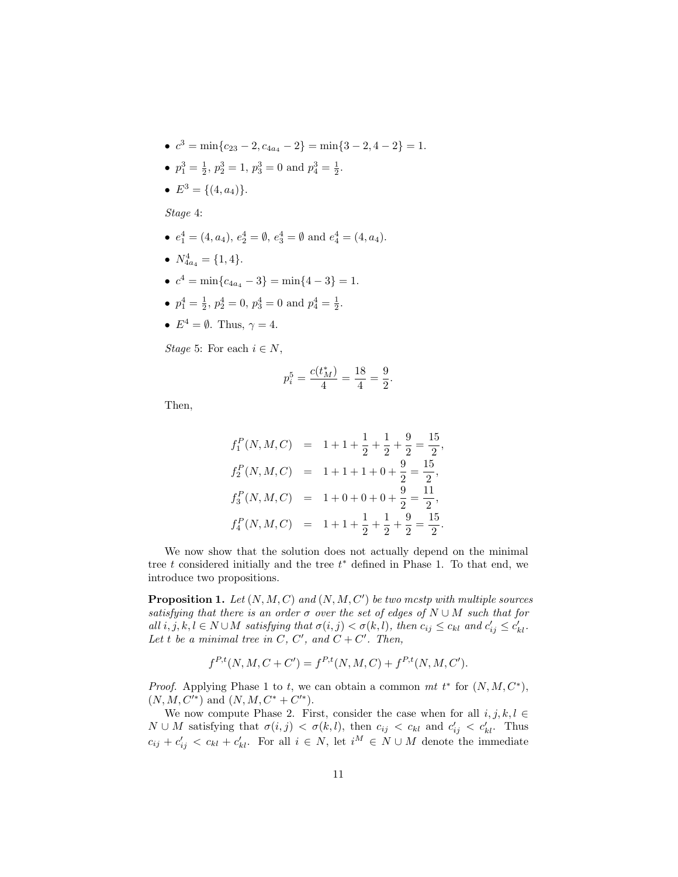- $c^3 = \min\{c_{23} 2, c_{4a_4} 2\} = \min\{3 2, 4 2\} = 1.$
- $p_1^3 = \frac{1}{2}, p_2^3 = 1, p_3^3 = 0$  and  $p_4^3 = \frac{1}{2}$ .
- $E^3 = \{(4, a_4)\}.$

Stage 4:

- $e_1^4 = (4, a_4), e_2^4 = \emptyset, e_3^4 = \emptyset \text{ and } e_4^4 = (4, a_4).$
- $N_{4a_4}^4 = \{1, 4\}.$
- $c^4 = \min\{c_{4a_4} 3\} = \min\{4 3\} = 1.$
- $p_1^4 = \frac{1}{2}, p_2^4 = 0, p_3^4 = 0 \text{ and } p_4^4 = \frac{1}{2}.$
- $E^4 = \emptyset$ . Thus,  $\gamma = 4$ .

Stage 5: For each  $i \in N$ ,

$$
p_i^5=\frac{c(t_M^*)}{4}=\frac{18}{4}=\frac{9}{2}.
$$

Then,

$$
f_1^P(N, M, C) = 1 + 1 + \frac{1}{2} + \frac{1}{2} + \frac{9}{2} = \frac{15}{2},
$$
  
\n
$$
f_2^P(N, M, C) = 1 + 1 + 1 + 0 + \frac{9}{2} = \frac{15}{2},
$$
  
\n
$$
f_3^P(N, M, C) = 1 + 0 + 0 + 0 + \frac{9}{2} = \frac{11}{2},
$$
  
\n
$$
f_4^P(N, M, C) = 1 + 1 + \frac{1}{2} + \frac{1}{2} + \frac{9}{2} = \frac{15}{2}.
$$

We now show that the solution does not actually depend on the minimal tree  $t$  considered initially and the tree  $t^*$  defined in Phase 1. To that end, we introduce two propositions.

**Proposition 1.** Let  $(N, M, C)$  and  $(N, M, C')$  be two mostp with multiple sources satisfying that there is an order  $\sigma$  over the set of edges of  $N \cup M$  such that for all  $i, j, k, l \in N \cup M$  satisfying that  $\sigma(i, j) < \sigma(k, l)$ , then  $c_{ij} \le c_{kl}$  and  $c'_{ij} \le c'_{kl}$ . Let t be a minimal tree in C, C', and  $C + C'$ . Then,

$$
f^{P,t}(N, M, C + C') = f^{P,t}(N, M, C) + f^{P,t}(N, M, C').
$$

*Proof.* Applying Phase 1 to t, we can obtain a common mt  $t^*$  for  $(N, M, C^*)$ ,  $(N, M, C'^*)$  and  $(N, M, C^* + C'^*)$ .

We now compute Phase 2. First, consider the case when for all  $i, j, k, l \in$  $N \cup M$  satisfying that  $\sigma(i, j) < \sigma(k, l)$ , then  $c_{ij} < c_{kl}$  and  $c'_{ij} < c'_{kl}$ . Thus  $c_{ij} + c'_{ij} < c_{kl} + c'_{kl}$ . For all  $i \in N$ , let  $i^M \in N \cup M$  denote the immediate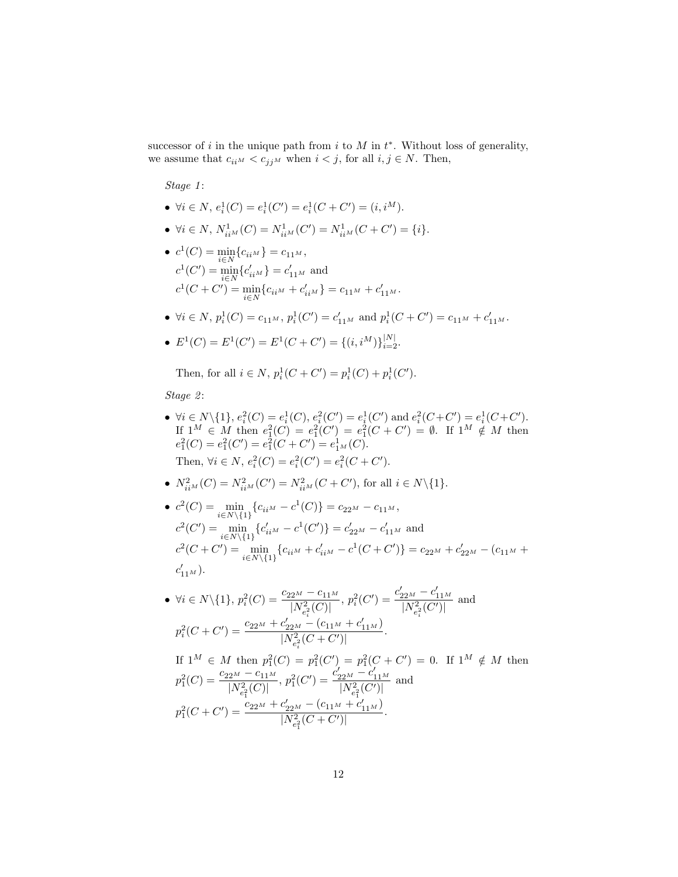successor of i in the unique path from i to  $M$  in  $t^*$ . Without loss of generality, we assume that  $c_{ii^M} < c_{j^M}$  when  $i < j$ , for all  $i, j \in N$ . Then,

Stage 1:

- $\forall i \in N, e_i^1(C) = e_i^1(C') = e_i^1(C + C') = (i, i^M)$ .
- $\forall i \in N$ ,  $N_{ii^M}^1(C) = N_{ii^M}^1(C') = N_{ii^M}^1(C + C') = \{i\}.$
- $c^1(C) = \min_{i \in N} \{c_{ii^M}\} = c_{11^M},$  $c^1(C') = \min_{i \in N} \{c'_{ii^M}\} = c'_{11^M}$  and  $c^1(C+C') = \min_{i\in N} \{c_{ii^M} + c'_{ii^M}\} = c_{11^M} + c'_{11^M}.$
- $\forall i \in N$ ,  $p_i^1(C) = c_{11^M}$ ,  $p_i^1(C') = c'_{11^M}$  and  $p_i^1(C + C') = c_{11^M} + c'_{11^M}$ .

• 
$$
E^1(C) = E^1(C') = E^1(C + C') = \{(i, i^M)\}_{i=2}^{|N|}
$$
.

Then, for all  $i \in N$ ,  $p_i^1(C+C') = p_i^1(C) + p_i^1(C')$ .

Stage 2:

- $\forall i \in N \setminus \{1\}, e_i^2(C) = e_i^1(C), e_i^2(C') = e_i^1(C') \text{ and } e_i^2(C + C') = e_i^1(C + C').$ If  $1^M \in M$  then  $e_1^2(C) = e_1^2(C') = e_1^2(C + C') = \emptyset$ . If  $1^M \notin M$  then  $e_1^2(C) = e_1^2(C') = e_1^2(C + C') = e_{1^M}^1(C).$ Then,  $\forall i \in N$ ,  $e_i^2(C) = e_i^2(C') = e_i^2(C + C')$ .
- $N_{ii^M}^2(C) = N_{ii^M}^2(C') = N_{ii^M}^2(C + C')$ , for all  $i \in N \setminus \{1\}$ .

• 
$$
c^2(C) = \min_{i \in N \setminus \{1\}} \{c_{iiM} - c^1(C)\} = c_{22M} - c_{11M},
$$
  
\n $c^2(C') = \min_{i \in N \setminus \{1\}} \{c'_{iiM} - c^1(C')\} = c'_{22M} - c'_{11M}$  and  
\n $c^2(C + C') = \min_{i \in N \setminus \{1\}} \{c_{iiM} + c'_{iiM} - c^1(C + C')\} = c_{22M} + c'_{22M} - (c_{11M} + c'_{11M}).$ 

• 
$$
\forall i \in N \setminus \{1\}, p_i^2(C) = \frac{c_{22^M} - c_{11^M}}{|N_{e_i^2}^2(C)|}, p_i^2(C') = \frac{c'_{22^M} - c'_{11^M}}{|N_{e_i^2}^2(C')|}
$$
 and  

$$
p_i^2(C + C') = \frac{c_{22^M} + c'_{22^M} - (c_{11^M} + c'_{11^M})}{|N_{e_i^2}^2(C + C')|}.
$$

If  $1^M \in M$  then  $p_1^2(C) = p_1^2(C') = p_1^2(C + C') = 0$ . If  $1^M \notin M$  then  $p_1^2(C) = \frac{c_{22^M} - c_{11^M}}{|N_{e_1^2}^2(C)|}$ ,  $p_1^2(C') = \frac{c'_{22^M} - c'_{11^M}}{|N_{e_1^2}^2(C')|}$  and  $p_1^2(C+C')=\frac{c_{22^M}+c'_{22^M}-(c_{11^M}+c'_{11^M})}{\frac{|\mathcal{N}|^2}{|\mathcal{N}|^2}(\mathcal{C}+\mathcal{C}')|}$  $\frac{[N^2_{e_1^2}(C+C')]}{[N^2_{e_1^2}(C+C')]}.$ 1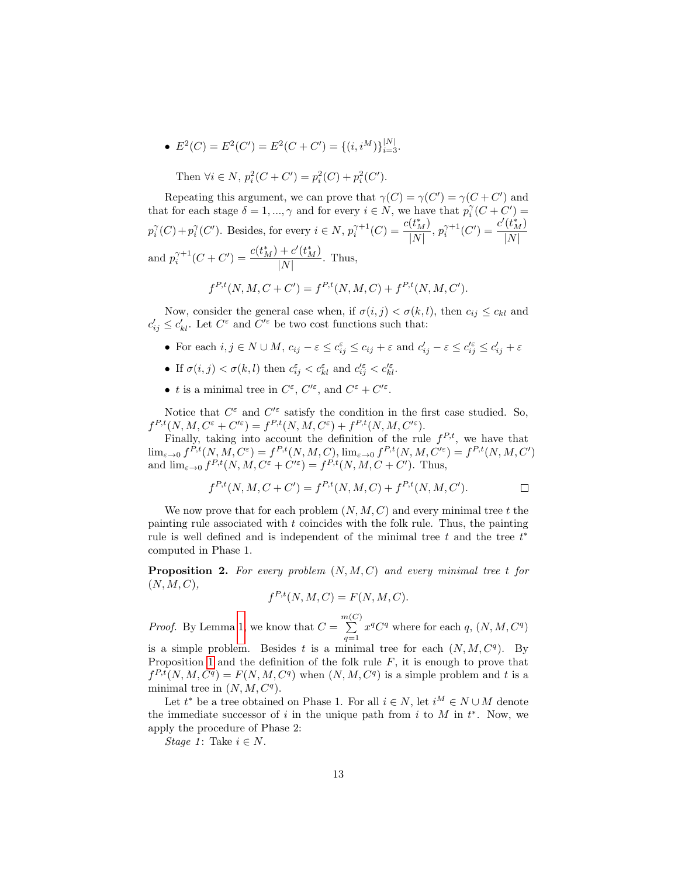•  $E^2(C) = E^2(C') = E^2(C + C') = \{(i, i^M)\}_{i=3}^{|N|}.$ 

Then  $\forall i \in N$ ,  $p_i^2(C + C') = p_i^2(C) + p_i^2(C')$ .

Repeating this argument, we can prove that  $\gamma(C) = \gamma(C') = \gamma(C + C')$  and that for each stage  $\delta = 1, ..., \gamma$  and for every  $i \in N$ , we have that  $p_i^{\gamma}(C + C') =$  $p_i^{\gamma}(C) + p_i^{\gamma}(C')$ . Besides, for every  $i \in N$ ,  $p_i^{\gamma+1}(C) = \frac{c(t_{M}^*)}{|N|}$  $\frac{(t_M^*)}{|N|}, p_i^{\gamma+1}(C') = \frac{c'(t_M^*)}{|N|}$  $|N|$ and  $p_i^{\gamma+1}(C+C') = \frac{c(t_M^*) + c'(t_M^*)}{|N|}$  $\frac{|\mathcal{C}(M)|}{|N|}$ . Thus,

$$
f^{P,t}(N, M, C + C') = f^{P,t}(N, M, C) + f^{P,t}(N, M, C').
$$

Now, consider the general case when, if  $\sigma(i, j) < \sigma(k, l)$ , then  $c_{ij} \leq c_{kl}$  and  $c'_{ij} \leq c'_{kl}$ . Let  $C^{\varepsilon}$  and  $C'^{\varepsilon}$  be two cost functions such that:

- For each  $i, j \in N \cup M$ ,  $c_{ij} \varepsilon \leq c_{ij}^{\varepsilon} \leq c_{ij} + \varepsilon$  and  $c'_{ij} \varepsilon \leq c'_{ij} \leq c'_{ij} + \varepsilon$
- If  $\sigma(i, j) < \sigma(k, l)$  then  $c_{ij}^{\varepsilon} < c_{kl}^{\varepsilon}$  and  $c_{ij}^{\prime \varepsilon} < c_{kl}^{\prime \varepsilon}$ .
- t is a minimal tree in  $C^{\varepsilon}$ ,  $C'^{\varepsilon}$ , and  $C^{\varepsilon} + C'^{\varepsilon}$ .

Notice that  $C^{\varepsilon}$  and  $C'^{\varepsilon}$  satisfy the condition in the first case studied. So,  $f^{P,t}(N, M, C^{\varepsilon} + C'^{\varepsilon}) = f^{P,t}(N, M, C^{\varepsilon}) + f^{P,t}(N, M, C'^{\varepsilon}).$ 

Finally, taking into account the definition of the rule  $f^{P,t}$ , we have that  $\lim_{\varepsilon \to 0} f^{P,t}(N, M, C^{\varepsilon}) = f^{P,t}(N, M, C), \lim_{\varepsilon \to 0} f^{P,t}(N, M, C'^{\varepsilon}) = f^{P,t}(N, M, C')$ and  $\lim_{\varepsilon \to 0} f^{P,t}(N, M, C^{\varepsilon} + C'^{\varepsilon}) = f^{P,t}(N, M, C + C')$ . Thus,

$$
f^{P,t}(N, M, C + C') = f^{P,t}(N, M, C) + f^{P,t}(N, M, C'). \square
$$

We now prove that for each problem  $(N, M, C)$  and every minimal tree t the painting rule associated with  $t$  coincides with the folk rule. Thus, the painting rule is well defined and is independent of the minimal tree  $t$  and the tree  $t^*$ computed in Phase 1.

**Proposition 2.** For every problem  $(N, M, C)$  and every minimal tree t for  $(N, M, C),$ 

$$
f^{P,t}(N,M,C) = F(N,M,C).
$$

*Proof.* By Lemma 1, we know that  $C = \sum_{n=0}^{m(C)}$  $\sum_{q=1}^{\infty} x^q C^q$  where for each q,  $(N, M, C^q)$ 

is a simple problem. Besides t is a minimal tree for each  $(N, M, C<sup>q</sup>)$ . By Proposition 1 and the definition of the folk rule  $F$ , it is enough to prove that  $f^{P,t}(N,M,C^q) = F(N,M,C^q)$  when  $(N,M,C^q)$  is a simple problem and t is a minimal tree in  $(N, M, C<sup>q</sup>)$ .

Let  $t^*$  be a tree obtained on Phase 1. For all  $i \in N$ , let  $i^M \in N \cup M$  denote the immediate successor of i in the unique path from i to  $M$  in  $t^*$ . Now, we apply the procedure of Phase 2:

Stage 1: Take  $i \in N$ .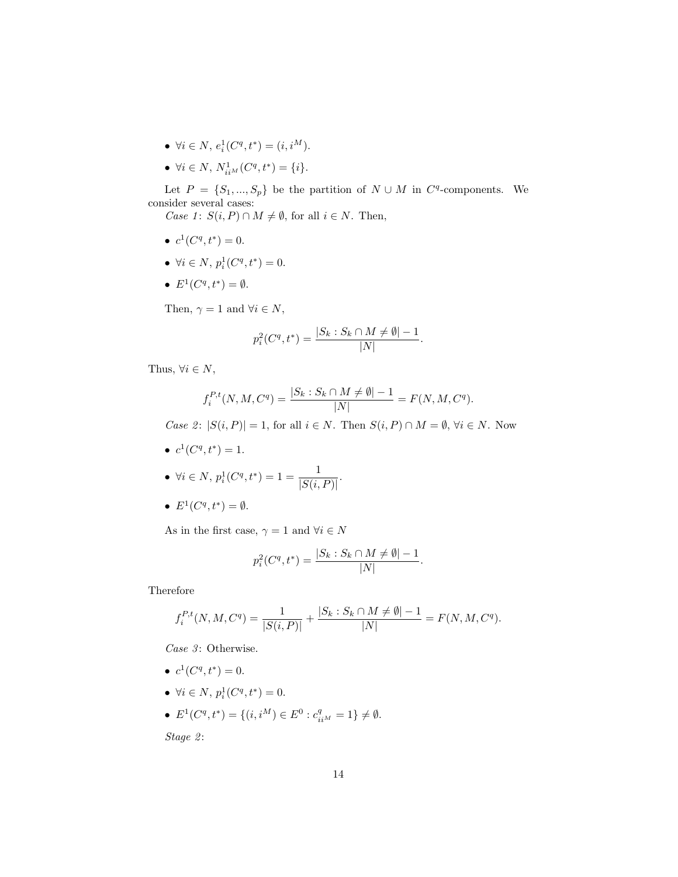- $\forall i \in N, e_i^1(C^q, t^*) = (i, i^M).$
- $\forall i \in N, N^1_{ii^M}(C^q, t^*) = \{i\}.$

Let  $P = \{S_1, ..., S_p\}$  be the partition of  $N \cup M$  in  $C^q$ -components. We consider several cases:

*Case 1*:  $S(i, P) \cap M \neq \emptyset$ , for all  $i \in N$ . Then,

- $c^1(C^q,t^*)=0.$
- $\forall i \in N, p_i^1(C^q, t^*) = 0.$
- $E^1(C^q,t^*)=\emptyset$ .

Then,  $\gamma = 1$  and  $\forall i \in N$ ,

$$
p_i^2(C^q, t^*) = \frac{|S_k : S_k \cap M \neq \emptyset| - 1}{|N|}.
$$

Thus,  $\forall i \in N$ ,

$$
f_i^{P,t}(N, M, C^q) = \frac{|S_k : S_k \cap M \neq \emptyset| - 1}{|N|} = F(N, M, C^q).
$$

Case 2:  $|S(i, P)| = 1$ , for all  $i \in N$ . Then  $S(i, P) \cap M = \emptyset$ ,  $\forall i \in N$ . Now

•  $c^1(C^q,t^*)=1$ .

• 
$$
\forall i \in N, p_i^1(C^q, t^*) = 1 = \frac{1}{|S(i, P)|}.
$$

•  $E^1(C^q,t^*)=\emptyset$ .

As in the first case,  $\gamma = 1$  and  $\forall i \in N$ 

$$
p_i^2(C^q, t^*) = \frac{|S_k : S_k \cap M \neq \emptyset| - 1}{|N|}.
$$

Therefore

$$
f_i^{P,t}(N,M,C^q) = \frac{1}{|S(i,P)|} + \frac{|S_k: S_k \cap M \neq \emptyset| - 1}{|N|} = F(N,M,C^q).
$$

Case  $3$ : Otherwise.

- $c^1(C^q,t^*)=0.$
- $\forall i \in N, p_i^1(C^q, t^*) = 0.$
- $E^1(C^q, t^*) = \{(i, i^M) \in E^0 : c_{ii^M}^q = 1\} \neq \emptyset.$

Stage 2: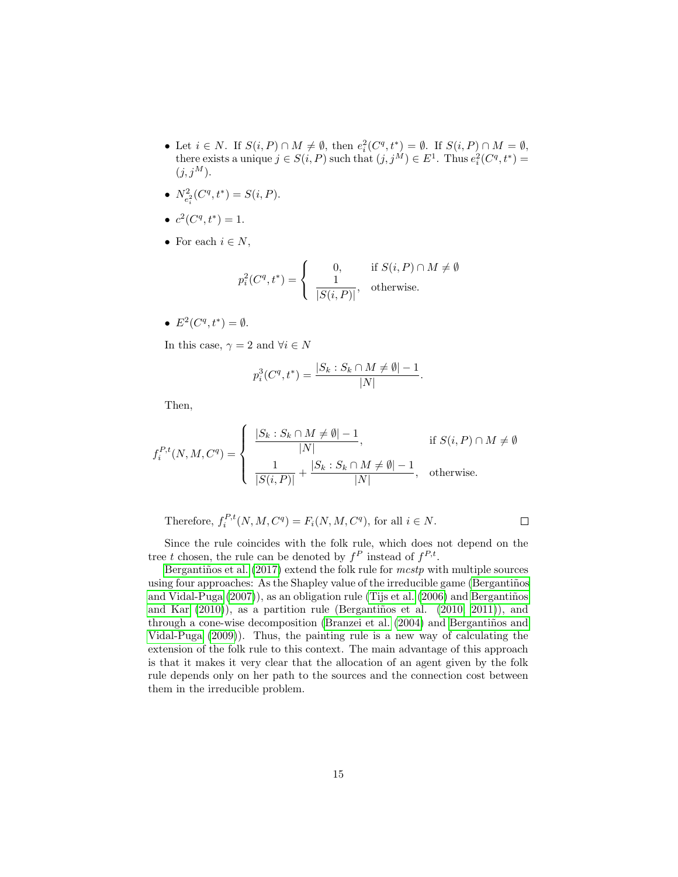• Let  $i \in N$ . If  $S(i, P) \cap M \neq \emptyset$ , then  $e_i^2(C^q, t^*) = \emptyset$ . If  $S(i, P) \cap M = \emptyset$ , there exists a unique  $j \in S(i, P)$  such that  $(j, j^M) \in E^1$ . Thus  $e_i^2(C^q, t^*)$  =  $(j, j^M)$ .

• 
$$
N_{e_i^2}^2(C^q, t^*) = S(i, P).
$$

$$
\bullet \ c^2(C^q, t^*) = 1.
$$

• For each  $i \in N$ ,

$$
p_i^2(C^q, t^*) = \begin{cases} 0, & \text{if } S(i, P) \cap M \neq \emptyset \\ \frac{1}{|S(i, P)|}, & \text{otherwise.} \end{cases}
$$

•  $E^2(C^q,t^*)=\emptyset$ .

In this case,  $\gamma = 2$  and  $\forall i \in N$ 

$$
p_i^3(C^q, t^*) = \frac{|S_k : S_k \cap M \neq \emptyset| - 1}{|N|}.
$$

Then,

$$
f_i^{P,t}(N,M,C^q) = \begin{cases} \frac{|S_k: S_k \cap M \neq \emptyset| - 1}{|N|}, & \text{if } S(i,P) \cap M \neq \emptyset\\ \frac{1}{|S(i,P)|} + \frac{|S_k: S_k \cap M \neq \emptyset| - 1}{|N|}, & \text{otherwise.} \end{cases}
$$

Therefore, 
$$
f_i^{P,t}(N, M, C^q) = F_i(N, M, C^q)
$$
, for all  $i \in N$ .

Since the rule coincides with the folk rule, which does not depend on the tree t chosen, the rule can be denoted by  $f^P$  instead of  $f^{P,t}$ .

Bergantiños et al.  $(2017)$  extend the folk rule for mestp with multiple sources using four approaches: As the Shapley value of the irreducible game (Bergantiños and Vidal-Puga  $(2007)$ , as an obligation rule (Tijs et al.  $(2006)$ ) and Bergantiños and Kar  $(2010)$ ), as a partition rule (Bergantiños et al.  $(2010, 2011)$ ), and through a cone-wise decomposition (Branzei et al. (2004) and Bergantiños and Vidal-Puga (2009)). Thus, the painting rule is a new way of calculating the extension of the folk rule to this context. The main advantage of this approach is that it makes it very clear that the allocation of an agent given by the folk rule depends only on her path to the sources and the connection cost between them in the irreducible problem.